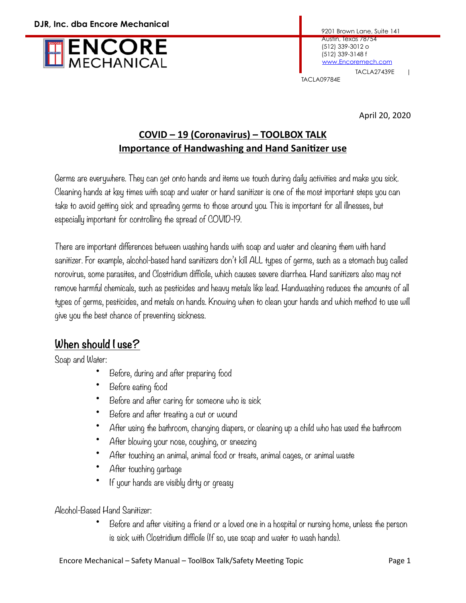

TACLA09784E

April 20, 2020

## **COVID – 19 (Coronavirus) – TOOLBOX TALK Importance of Handwashing and Hand Sanitizer use**

Germs are everywhere. They can get onto hands and items we touch during daily activities and make you sick. Cleaning hands at key times with soap and water or hand sanitizer is one of the most important steps you can take to avoid getting sick and spreading germs to those around you. This is important for all illnesses, but especially important for controlling the spread of COVID-19.

There are important differences between washing hands with soap and water and cleaning them with hand sanitizer. For example, alcohol-based hand sanitizers don't kill ALL types of germs, such as a stomach bug called norovirus, some parasites, and Clostridium difficile, which causes severe diarrhea. Hand sanitizers also may not remove harmful chemicals, such as pesticides and heavy metals like lead. Handwashing reduces the amounts of all types of germs, pesticides, and metals on hands. Knowing when to clean your hands and which method to use will give you the best chance of preventing sickness.

## **When should I use?**

Soap and Water:

- Before, during and after preparing food
- Before eating food
- Before and after caring for someone who is sick
- Before and after treating a cut or wound
- After using the bathroom, changing diapers, or cleaning up a child who has used the bathroom
- After blowing your nose, coughing, or sneezing
- After touching an animal, animal food or treats, animal cages, or animal waste
- After touching garbage
- If your hands are visibly dirty or greasy

## Alcohol-Based Hand Sanitizer:

• Before and after visiting a friend or a loved one in a hospital or nursing home, unless the person is sick with Clostridium difficile (If so, use soap and water to wash hands).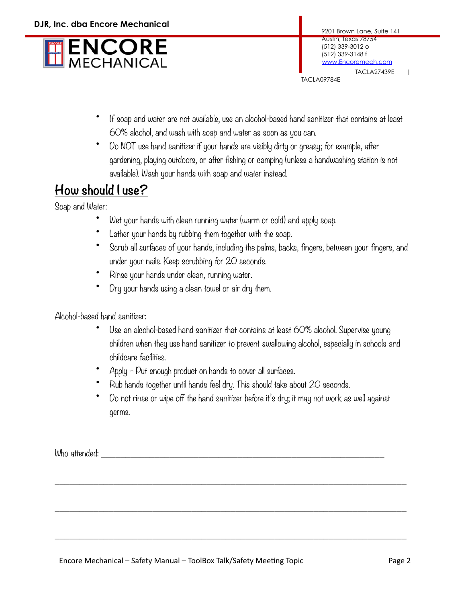

TACLA09784E

- If soap and water are not available, use an alcohol-based hand sanitizer that contains at least 60% alcohol, and wash with soap and water as soon as you can.
- Do NOT use hand sanitizer if your hands are visibly dirty or greasy; for example, after gardening, playing outdoors, or after fishing or camping (unless a handwashing station is not available). Wash your hands with soap and water instead.

## **How should I use?**

Soap and Water:

- Wet your hands with clean running water (warm or cold) and apply soap.
- Lather your hands by rubbing them together with the soap.
- Scrub all surfaces of your hands, including the palms, backs, fingers, between your fingers, and under your nails. Keep scrubbing for 20 seconds.
- Rinse your hands under clean, running water.
- Dry your hands using a clean towel or air dry them.

Alcohol-based hand sanitizer:

- Use an alcohol-based hand sanitizer that contains at least 60% alcohol. Supervise young children when they use hand sanitizer to prevent swallowing alcohol, especially in schools and childcare facilities.
- Apply Put enough product on hands to cover all surfaces.
- Rub hands together until hands feel dry. This should take about 20 seconds.

 $\_$  , and the set of the set of the set of the set of the set of the set of the set of the set of the set of the set of the set of the set of the set of the set of the set of the set of the set of the set of the set of th

 $\_$  , and the set of the set of the set of the set of the set of the set of the set of the set of the set of the set of the set of the set of the set of the set of the set of the set of the set of the set of the set of th

 $\_$  , and the set of the set of the set of the set of the set of the set of the set of the set of the set of the set of the set of the set of the set of the set of the set of the set of the set of the set of the set of th

• Do not rinse or wipe off the hand sanitizer before it's dry; it may not work as well against germs.

Who attended: